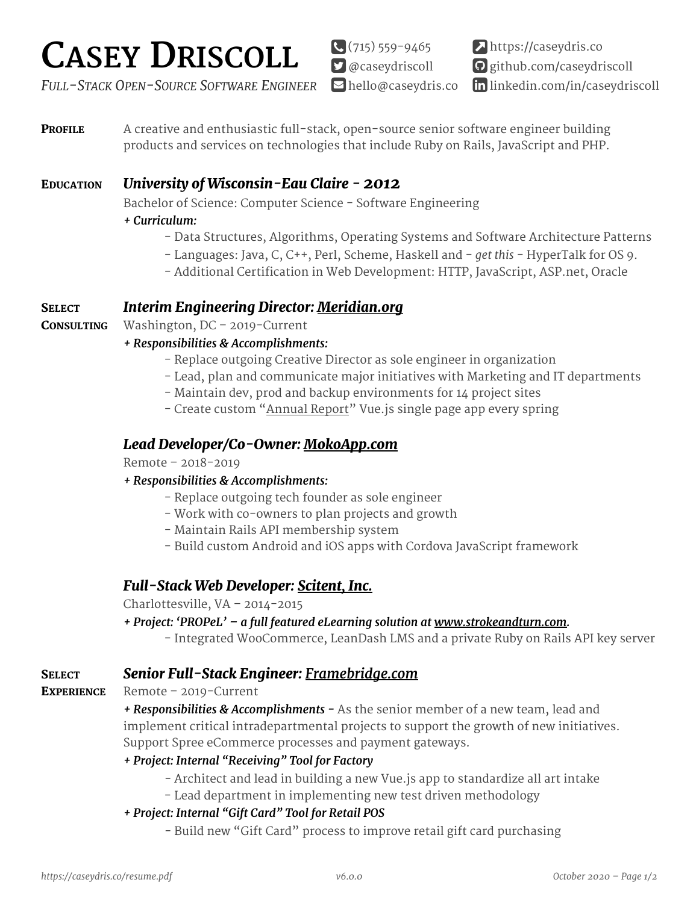# **CASEY DRISCOLL**

 $\bigodot(715)559-9465$  $\Box$  [@caseydriscoll](http://twitter.com/caseydriscoll) https://caseydris.co ! [github.com/caseydriscoll](https://github.com/caseydriscoll) " in [linkedin.com/in/caseydriscoll](https://www.linkedin.com/in/caseydriscoll)

*FULL-STACK OPEN-SOURCE SOFTWARE ENGINEER* bello@caseydris.co

**PROFILE** A creative and enthusiastic full-stack, open-source senior software engineer building products and services on technologies that include Ruby on Rails, JavaScript and PHP.

# EDUCATION *[University of Wisconsin-Eau Claire](http://www.uwec.edu/) - 2012*

Bachelor of Science: Computer Science - Software Engineering

## *+ Curriculum:*

- Data Structures, Algorithms, Operating Systems and Software Architecture Patterns
- Languages: Java, C, C++, Perl, Scheme, Haskell and *get this* HyperTalk for OS 9.
- Additional Certification in Web Development: HTTP, JavaScript, ASP.net, Oracle

## SELECT *Interim Engineering Director: [Meridian.org](http://meridian.org)*

CONSULTING Washington, DC – 2019-Current

## *+ Responsibilities & Accomplishments:*

- Replace outgoing Creative Director as sole engineer in organization
- Lead, plan and communicate major initiatives with Marketing and IT departments
- Maintain dev, prod and backup environments for 14 project sites
- Create custom ["Annual Report"](http://meridian.org/annualreport2019/) Vue.js single page app every spring

## *Lead Developer/Co-Owner: [MokoApp.com](http://mokoapp.com)*

Remote – 2018-2019

## *+ Responsibilities & Accomplishments:*

- Replace outgoing tech founder as sole engineer
- Work with co-owners to plan projects and growth
- Maintain Rails API membership system
- Build custom Android and iOS apps with Cordova JavaScript framework

# *Full-Stack Web Developer: [Scitent, Inc.](http://www.scitent.com/)*

Charlottesville, VA – 2014-2015

- *+ Project: 'PROPeL' a full featured eLearning solution at [www.strokeandturn.com.](http://www.strokeandturn.com)*
	- Integrated WooCommerce, LeanDash LMS and a private Ruby on Rails API key server

## SELECT *Senior Full-Stack Engineer: [Framebridge.com](http://framebridge.com)*

EXPERIENCE Remote - 2019-Current

*+ Responsibilities & Accomplishments -* As the senior member of a new team, lead and implement critical intradepartmental projects to support the growth of new initiatives. Support Spree eCommerce processes and payment gateways.

## *+ Project: Internal "Receiving" Tool for Factory*

- Architect and lead in building a new Vue.js app to standardize all art intake
- Lead department in implementing new test driven methodology
- *+ Project: Internal "Gift Card" Tool for Retail POS* 
	- Build new "Gift Card" process to improve retail gift card purchasing